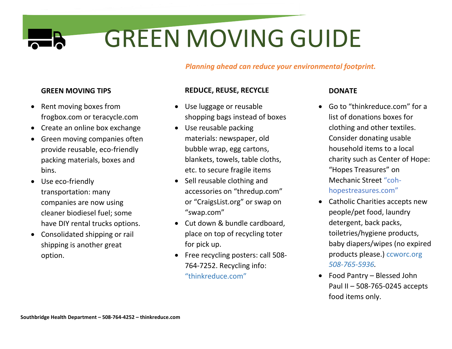# GREEN MOVING GUIDE

*Planning ahead can reduce your environmental footprint.*

# **GREEN MOVING TIPS**

- Rent moving boxes from frogbox.com or teracycle.com
- Create an online box exchange
- Green moving companies often provide reusable, eco-friendly packing materials, boxes and bins.
- Use eco-friendly transportation: many companies are now using cleaner biodiesel fuel; some have DIY rental trucks options.
- Consolidated shipping or rail shipping is another great option.

## **REDUCE, REUSE, RECYCLE**

- Use luggage or reusable shopping bags instead of boxes
- Use reusable packing materials: newspaper, old bubble wrap, egg cartons, blankets, towels, table cloths, etc. to secure fragile items
- Sell reusable clothing and accessories on "thredup.com" or "CraigsList.org" or swap on "swap.com"
- Cut down & bundle cardboard, place on top of recycling toter for pick up.
- Free recycling posters: call 508- 764-7252. Recycling info: "thinkreduce.com"

# **DONATE**

- Go to "thinkreduce.com" for a list of donations boxes for clothing and other textiles. Consider donating usable household items to a local charity such as Center of Hope: "Hopes Treasures" on Mechanic Street "cohhopestreasures.com"
- Catholic Charities accepts new people/pet food, laundry detergent, back packs, toiletries/hygiene products, baby diapers/wipes (no expired products please.) ccworc.org *508-765-5936.*
- Food Pantry Blessed John Paul II – 508-765-0245 accepts food items only.